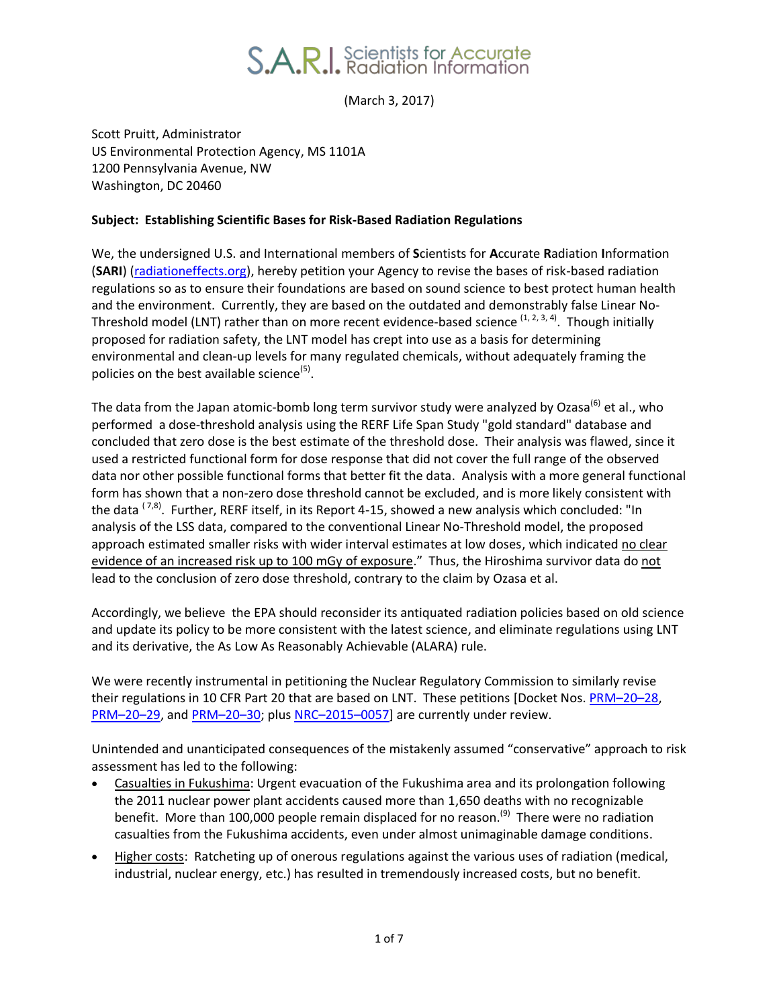(March 3, 2017)

Scott Pruitt, Administrator US Environmental Protection Agency, MS 1101A 1200 Pennsylvania Avenue, NW Washington, DC 20460

## **Subject: Establishing Scientific Bases for Risk-Based Radiation Regulations**

We, the undersigned U.S. and International members of **S**cientists for **A**ccurate **R**adiation **I**nformation (**SARI**) [\(radiationeffects.org\)](http://radiationeffects.org/), hereby petition your Agency to revise the bases of risk-based radiation regulations so as to ensure their foundations are based on sound science to best protect human health and the environment. Currently, they are based on the outdated and demonstrably false Linear No-Threshold model (LNT) rather than on more recent evidence-based science <sup>(1, 2, 3, 4)</sup>. Though initially proposed for radiation safety, the LNT model has crept into use as a basis for determining environmental and clean-up levels for many regulated chemicals, without adequately framing the policies on the best available science<sup>(5)</sup>.

The data from the Japan atomic-bomb long term survivor study were analyzed by Ozasa<sup>(6)</sup> et al., who performed a dose-threshold analysis using the RERF Life Span Study "gold standard" database and concluded that zero dose is the best estimate of the threshold dose. Their analysis was flawed, since it used a restricted functional form for dose response that did not cover the full range of the observed data nor other possible functional forms that better fit the data. Analysis with a more general functional form has shown that a non-zero dose threshold cannot be excluded, and is more likely consistent with the data  $^{(7,8)}$ . Further, RERF itself, in its Report 4-15, showed a new analysis which concluded: "In analysis of the LSS data, compared to the conventional Linear No-Threshold model, the proposed approach estimated smaller risks with wider interval estimates at low doses, which indicated no clear evidence of an increased risk up to 100 mGy of exposure." Thus, the Hiroshima survivor data do not lead to the conclusion of zero dose threshold, contrary to the claim by Ozasa et al.

Accordingly, we believe the EPA should reconsider its antiquated radiation policies based on old science and update its policy to be more consistent with the latest science, and eliminate regulations using LNT and its derivative, the As Low As Reasonably Achievable (ALARA) rule.

We were recently instrumental in petitioning the Nuclear Regulatory Commission to similarly revise their regulations in 10 CFR Part 20 that are based on LNT. These petitions [Docket Nos. [PRM](https://www.nrc.gov/docs/ML1505/ML15051A503.pdf)-20-28, [PRM](https://www.nrc.gov/docs/ML1505/ML15057A349.pdf)-20-29, and [PRM](https://www.nrc.gov/docs/ML1507/ML15075A200.pdf)-20-30; plus NRC-2015-[0057\]](https://www.nrc.gov/reading-rm/doc-collections/rulemaking-ruleforum/petitions-by-year/2015/) are currently under review.

Unintended and unanticipated consequences of the mistakenly assumed "conservative" approach to risk assessment has led to the following:

- Casualties in Fukushima: Urgent evacuation of the Fukushima area and its prolongation following the 2011 nuclear power plant accidents caused more than 1,650 deaths with no recognizable benefit. More than 100,000 people remain displaced for no reason.<sup>(9)</sup> There were no radiation casualties from the Fukushima accidents, even under almost unimaginable damage conditions.
- Higher costs: Ratcheting up of onerous regulations against the various uses of radiation (medical, industrial, nuclear energy, etc.) has resulted in tremendously increased costs, but no benefit.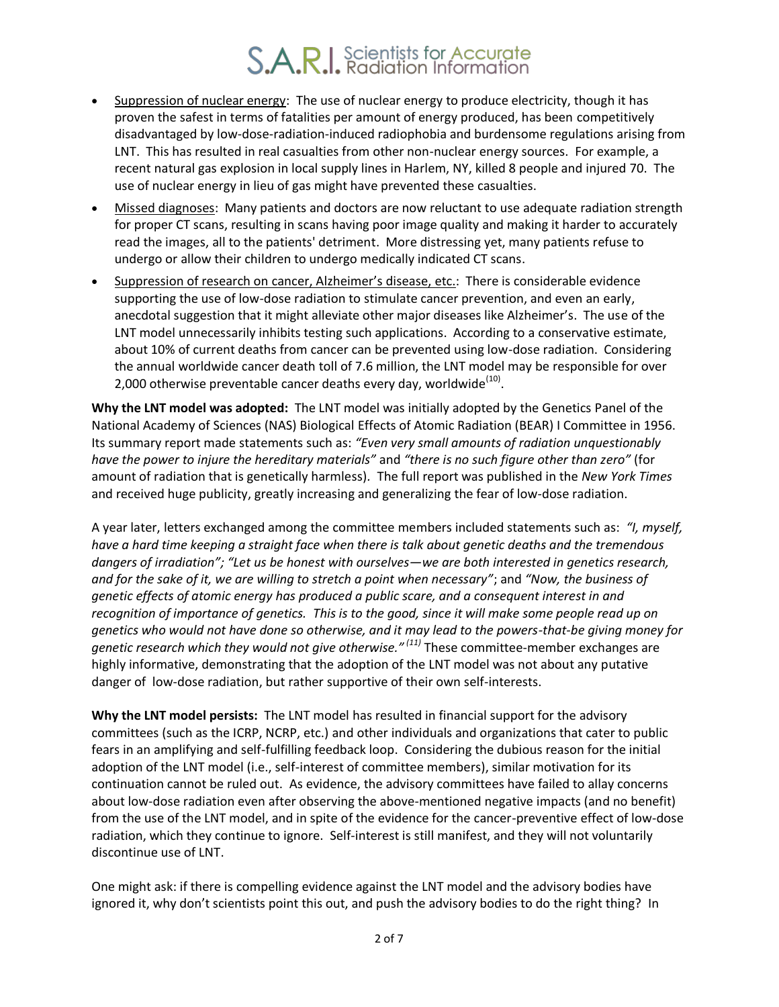- Suppression of nuclear energy: The use of nuclear energy to produce electricity, though it has proven the safest in terms of fatalities per amount of energy produced, has been competitively disadvantaged by low-dose-radiation-induced radiophobia and burdensome regulations arising from LNT. This has resulted in real casualties from other non-nuclear energy sources. For example, a recent natural gas explosion in local supply lines in Harlem, NY, killed 8 people and injured 70. The use of nuclear energy in lieu of gas might have prevented these casualties.
- Missed diagnoses: Many patients and doctors are now reluctant to use adequate radiation strength for proper CT scans, resulting in scans having poor image quality and making it harder to accurately read the images, all to the patients' detriment. More distressing yet, many patients refuse to undergo or allow their children to undergo medically indicated CT scans.
- Suppression of research on cancer, Alzheimer's disease, etc.: There is considerable evidence supporting the use of low-dose radiation to stimulate cancer prevention, and even an early, anecdotal suggestion that it might alleviate other major diseases like Alzheimer's. The use of the LNT model unnecessarily inhibits testing such applications. According to a conservative estimate, about 10% of current deaths from cancer can be prevented using low-dose radiation. Considering the annual worldwide cancer death toll of 7.6 million, the LNT model may be responsible for over 2,000 otherwise preventable cancer deaths every day, worldwide $^{(10)}$ .

**Why the LNT model was adopted:** The LNT model was initially adopted by the Genetics Panel of the National Academy of Sciences (NAS) Biological Effects of Atomic Radiation (BEAR) I Committee in 1956. Its summary report made statements such as: *"Even very small amounts of radiation unquestionably have the power to injure the hereditary materials"* and *"there is no such figure other than zero"* (for amount of radiation that is genetically harmless)*.* The full report was published in the *New York Times* and received huge publicity, greatly increasing and generalizing the fear of low-dose radiation.

A year later, letters exchanged among the committee members included statements such as: *"I, myself, have a hard time keeping a straight face when there is talk about genetic deaths and the tremendous dangers of irradiation"; "Let us be honest with ourselves—we are both interested in genetics research, and for the sake of it, we are willing to stretch a point when necessary"*; and *"Now, the business of genetic effects of atomic energy has produced a public scare, and a consequent interest in and recognition of importance of genetics. This is to the good, since it will make some people read up on genetics who would not have done so otherwise, and it may lead to the powers-that-be giving money for genetic research which they would not give otherwise." (11)* These committee-member exchanges are highly informative, demonstrating that the adoption of the LNT model was not about any putative danger of low-dose radiation, but rather supportive of their own self-interests.

**Why the LNT model persists:** The LNT model has resulted in financial support for the advisory committees (such as the ICRP, NCRP, etc.) and other individuals and organizations that cater to public fears in an amplifying and self-fulfilling feedback loop. Considering the dubious reason for the initial adoption of the LNT model (i.e., self-interest of committee members), similar motivation for its continuation cannot be ruled out. As evidence, the advisory committees have failed to allay concerns about low-dose radiation even after observing the above-mentioned negative impacts (and no benefit) from the use of the LNT model, and in spite of the evidence for the cancer-preventive effect of low-dose radiation, which they continue to ignore. Self-interest is still manifest, and they will not voluntarily discontinue use of LNT.

One might ask: if there is compelling evidence against the LNT model and the advisory bodies have ignored it, why don't scientists point this out, and push the advisory bodies to do the right thing? In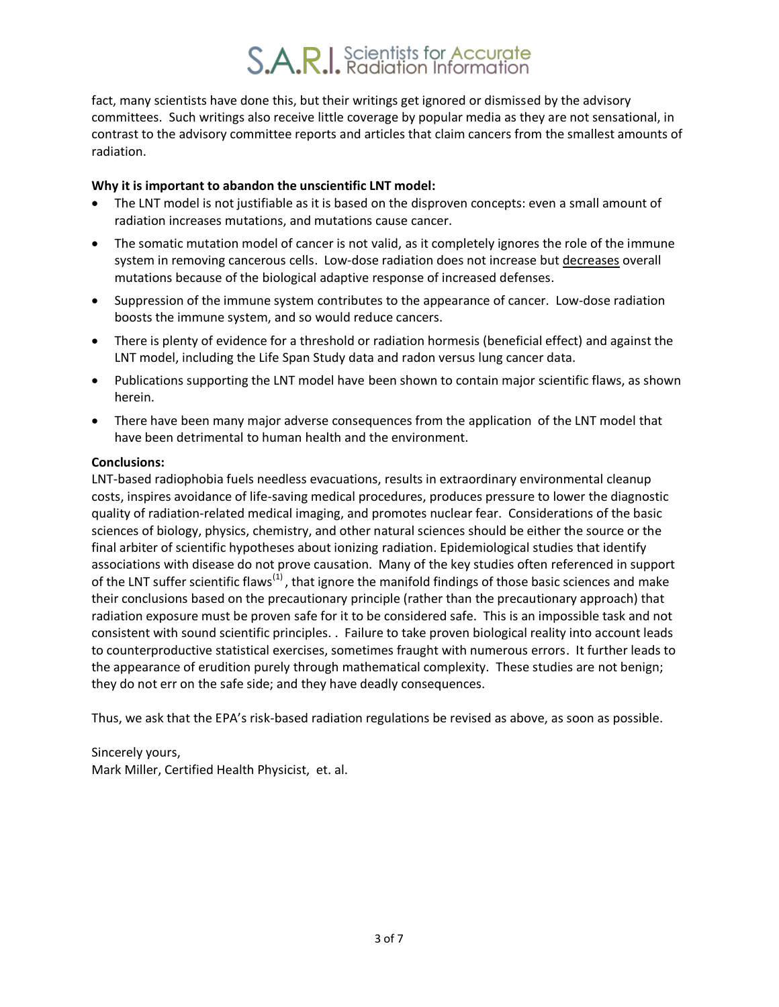fact, many scientists have done this, but their writings get ignored or dismissed by the advisory committees. Such writings also receive little coverage by popular media as they are not sensational, in contrast to the advisory committee reports and articles that claim cancers from the smallest amounts of radiation.

## **Why it is important to abandon the unscientific LNT model:**

- The LNT model is not justifiable as it is based on the disproven concepts: even a small amount of radiation increases mutations, and mutations cause cancer.
- The somatic mutation model of cancer is not valid, as it completely ignores the role of the immune system in removing cancerous cells. Low-dose radiation does not increase but decreases overall mutations because of the biological adaptive response of increased defenses.
- Suppression of the immune system contributes to the appearance of cancer. Low-dose radiation boosts the immune system, and so would reduce cancers.
- There is plenty of evidence for a threshold or radiation hormesis (beneficial effect) and against the LNT model, including the Life Span Study data and radon versus lung cancer data.
- Publications supporting the LNT model have been shown to contain major scientific flaws, as shown herein.
- There have been many major adverse consequences from the application of the LNT model that have been detrimental to human health and the environment.

### **Conclusions:**

LNT-based radiophobia fuels needless evacuations, results in extraordinary environmental cleanup costs, inspires avoidance of life-saving medical procedures, produces pressure to lower the diagnostic quality of radiation-related medical imaging, and promotes nuclear fear. Considerations of the basic sciences of biology, physics, chemistry, and other natural sciences should be either the source or the final arbiter of scientific hypotheses about ionizing radiation. Epidemiological studies that identify associations with disease do not prove causation. Many of the key studies often referenced in support of the LNT suffer scientific flaws<sup>(1)</sup>, that ignore the manifold findings of those basic sciences and make their conclusions based on the precautionary principle (rather than the precautionary approach) that radiation exposure must be proven safe for it to be considered safe. This is an impossible task and not consistent with sound scientific principles. . Failure to take proven biological reality into account leads to counterproductive statistical exercises, sometimes fraught with numerous errors. It further leads to the appearance of erudition purely through mathematical complexity. These studies are not benign; they do not err on the safe side; and they have deadly consequences.

Thus, we ask that the EPA's risk-based radiation regulations be revised as above, as soon as possible.

Sincerely yours, Mark Miller, Certified Health Physicist, et. al.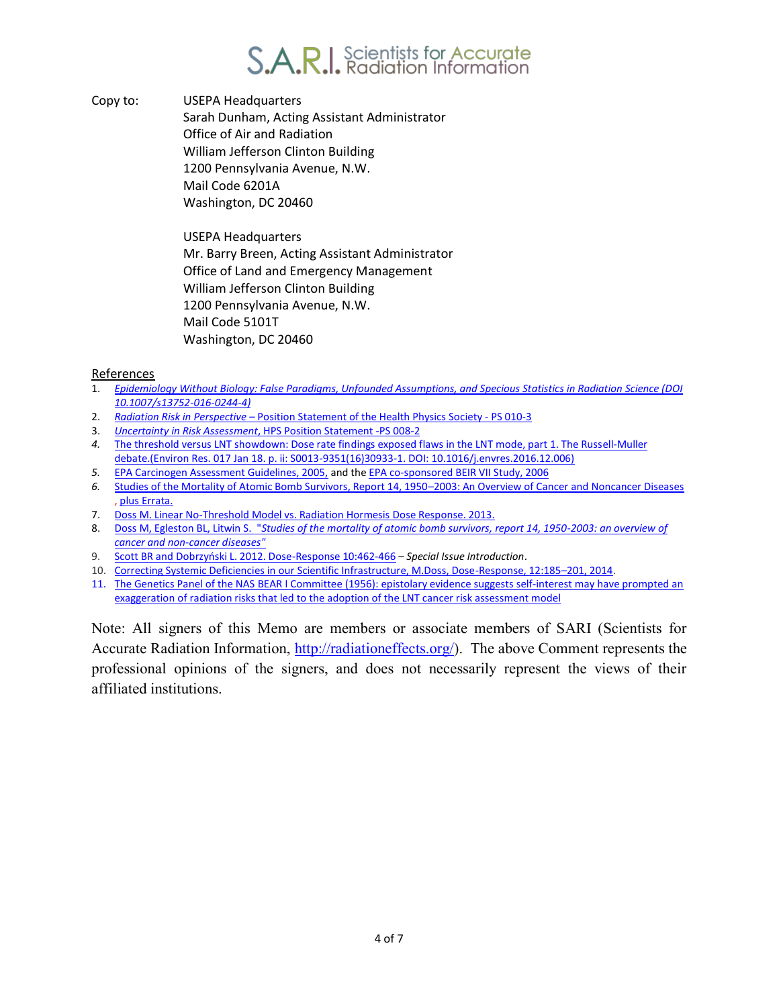

Copy to: USEPA Headquarters Sarah Dunham, Acting Assistant Administrator Office of Air and Radiation William Jefferson Clinton Building 1200 Pennsylvania Avenue, N.W. Mail Code 6201A Washington, DC 20460

> USEPA Headquarters Mr. Barry Breen, Acting Assistant Administrator Office of Land and Emergency Management William Jefferson Clinton Building 1200 Pennsylvania Avenue, N.W. Mail Code 5101T Washington, DC 20460

#### References

- 1. *[Epidemiology Without Biology: False Paradigms, Unfounded Assumptions, and Specious Statistics in Radiation Science \(DOI](https://www.ncbi.nlm.nih.gov/labs/articles/27398078/)  [10.1007/s13752-016-0244-4\)](https://www.ncbi.nlm.nih.gov/labs/articles/27398078/)*
- 2. *Radiation Risk in Perspective* – [Position Statement of the Health Physics Society PS 010-3](http://hps.org/documents/risk_ps010-3.pdf)
- 3. *Uncertainty in Risk Assessment*[, HPS Position Statement -PS 008-2](http://hps.org/documents/riskassessment_ps008-2.pdf)
- *4.* [The threshold versus LNT showdown: Dose rate findings exposed flaws in the LNT mode, part 1. The Russell-Muller](https://www.ncbi.nlm.nih.gov/pubmed/28109526)  [debate.\(Environ Res. 017 Jan 18. p. ii: S0013-9351\(16\)30933-1. DOI: 10.1016/j.envres.2016.12.006\)](https://www.ncbi.nlm.nih.gov/pubmed/28109526)
- *5.* [EPA Carcinogen Assessment Guidelines, 2005,](chrome-extension://oemmndcbldboiebfnladdacbdfmadadm/https:/www3.epa.gov/airtoxics/cancer_guidelines_final_3-25-05.pdf) and th[e EPA co-sponsored BEIR VII Study, 2006](https://books.google.com/books?id=-bV9OrS9vZEC&dq=5.%09BEIR+VII+Study,+2006&lr=)
- *6.* [Studies of the Mortality of Atomic Bomb Survivors, Report 14, 1950](chrome-extension://oemmndcbldboiebfnladdacbdfmadadm/http:/www.rerf.jp/library/rr_e/rr1104.pdf)–2003: An Overview of Cancer and Noncancer Diseases [, plus Errata.](chrome-extension://oemmndcbldboiebfnladdacbdfmadadm/http:/www.rerf.jp/library/rr_e/rr1104errata.pdf)
- 7. [Doss M. Linear No-Threshold Model vs. Radiation Hormesis](https://www.ncbi.nlm.nih.gov/pubmed/24298226) Dose Response. 2013.
- 8. Doss M, Egleston BL, Litwin S. "*[Studies of the mortality of atomic bomb survivors, report 14, 1950-2003: an overview of](http://www.ncbi.nlm.nih.gov/pubmed/22817395)  [cancer and non-cancer diseases"](http://www.ncbi.nlm.nih.gov/pubmed/22817395)*
- 9. [Scott BR and Dobrzyński L. 2012. Dose](chrome-extension://oemmndcbldboiebfnladdacbdfmadadm/http:/journals.sagepub.com/doi/pdf/10.2203/dose-response.12-047.Scott)-Response 10:462-466 *Special Issue Introduction*.
- 10. [Correcting Systemic Deficiencies in our Scientific Infrastructure, M.Doss, Dose-Response, 12:185](http://journals.sagepub.com/doi/pdf/10.2203/dose-response.13-046.Doss)–201, 2014.
- 11. The Genetics Panel [of the NAS BEAR I Committee \(1956\): epistolary evidence suggests self-interest may have prompted an](https://link.springer.com/journal/204/88/9/page/1) exaggeration of radiation risks that led [to the adoption of the LNT cancer risk assessment model](https://link.springer.com/journal/204/88/9/page/1)

Note: All signers of this Memo are members or associate members of SARI (Scientists for Accurate Radiation Information, [http://radiationeffects.org/\)](http://radiationeffects.org/). The above Comment represents the professional opinions of the signers, and does not necessarily represent the views of their affiliated institutions.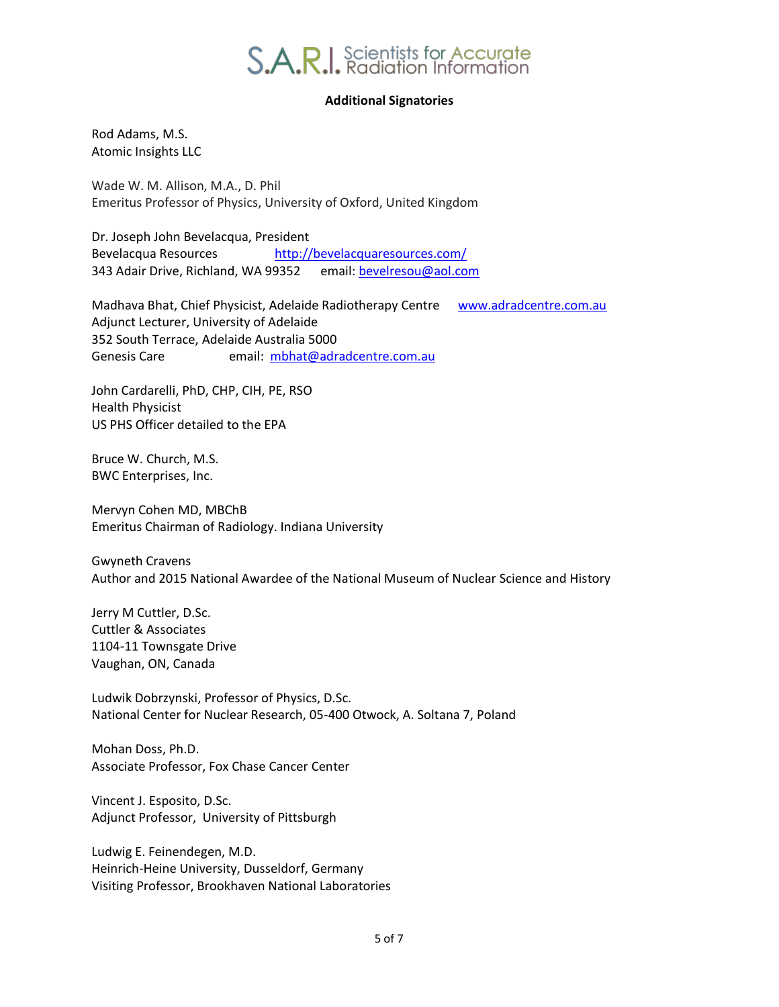## **Additional Signatories**

Rod Adams, M.S. Atomic Insights LLC

Wade W. M. Allison, M.A., D. Phil Emeritus Professor of Physics, University of Oxford, United Kingdom

Dr. Joseph John Bevelacqua, President Bevelacqua Resources <http://bevelacquaresources.com/> 343 Adair Drive, Richland, WA 99352 email: [bevelresou@aol.com](mailto:bevelresou@aol.com)

Madhava Bhat, Chief Physicist, Adelaide Radiotherapy Centre [www.adradcentre.com.au](http://www.adradcentre.com.au/) Adjunct Lecturer, University of Adelaide 352 South Terrace, Adelaide Australia 5000 Genesis Care email: mbhat@adradcentre.com.au

John Cardarelli, PhD, CHP, CIH, PE, RSO Health Physicist US PHS Officer detailed to the EPA

Bruce W. Church, M.S. BWC Enterprises, Inc.

Mervyn Cohen MD, MBChB Emeritus Chairman of Radiology. Indiana University

Gwyneth Cravens Author and 2015 National Awardee of the National Museum of Nuclear Science and History

Jerry M Cuttler, D.Sc. Cuttler & Associates 1104-11 Townsgate Drive Vaughan, ON, Canada

Ludwik Dobrzynski, Professor of Physics, D.Sc. National Center for Nuclear Research, 05-400 Otwock, A. Soltana 7, Poland

Mohan Doss, Ph.D. Associate Professor, Fox Chase Cancer Center

Vincent J. Esposito, D.Sc. Adjunct Professor, University of Pittsburgh

Ludwig E. Feinendegen, M.D. Heinrich-Heine University, Dusseldorf, Germany Visiting Professor, Brookhaven National Laboratories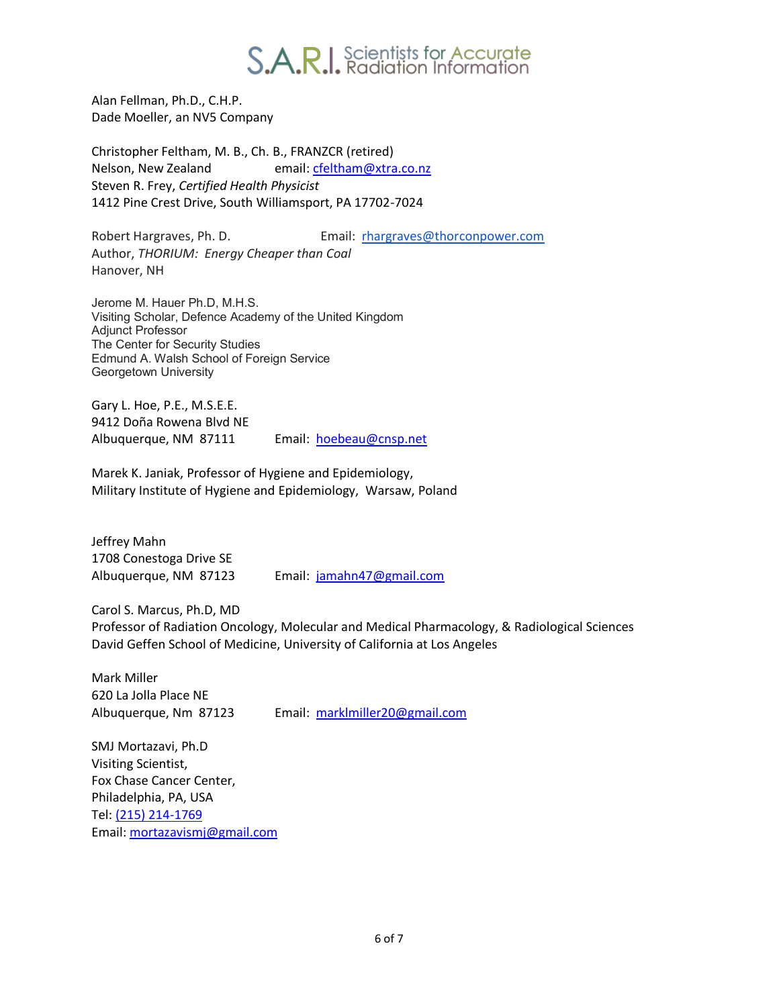

Alan Fellman, Ph.D., C.H.P. Dade Moeller, an NV5 Company

Christopher Feltham, M. B., Ch. B., FRANZCR (retired) Nelson, New Zealand email: [cfeltham@xtra.co.nz](mailto:cfeltham@xtra.co.nz) Steven R. Frey, *Certified Health Physicist* 1412 Pine Crest Drive, South Williamsport, PA 17702-7024

Robert Hargraves, Ph. D. Email: [rhargraves@thorconpower.com](mailto:rhargraves@thorconpower.com) Author, *THORIUM: Energy Cheaper than Coal* Hanover, NH

Jerome M. Hauer Ph.D, M.H.S. Visiting Scholar, Defence Academy of the United Kingdom Adjunct Professor The Center for Security Studies Edmund A. Walsh School of Foreign Service Georgetown University

Gary L. Hoe, P.E., M.S.E.E. 9412 Doña Rowena Blvd NE Albuquerque, NM 87111 Email: [hoebeau@cnsp.net](../../../AppData/Local/Microsoft/Windows/AppData/Local/Mark/Documents/Marks%20Work/hoebeau@cnsp.net)

Marek K. Janiak, Professor of Hygiene and Epidemiology, Military Institute of Hygiene and Epidemiology, Warsaw, Poland

Jeffrey Mahn 1708 Conestoga Drive SE

Albuquerque, NM 87123 Email: [jamahn47@gmail.com](mailto:jamahn47@gmail.com)

Carol S. Marcus, Ph.D, MD Professor of Radiation Oncology, Molecular and Medical Pharmacology, & Radiological Sciences David Geffen School of Medicine, University of California at Los Angeles

Mark Miller 620 La Jolla Place NE

Albuquerque, Nm 87123 Email: [marklmiller20@gmail.com](mailto:marklmiller20@gmail.com)

SMJ Mortazavi, Ph.D Visiting Scientist, Fox Chase Cancer Center, Philadelphia, PA, USA Tel: [\(215\) 214-1769](tel:(215)%20214-1769) Email: [mortazavismj@gmail.com](mailto:mortazavismj@gmail.com)